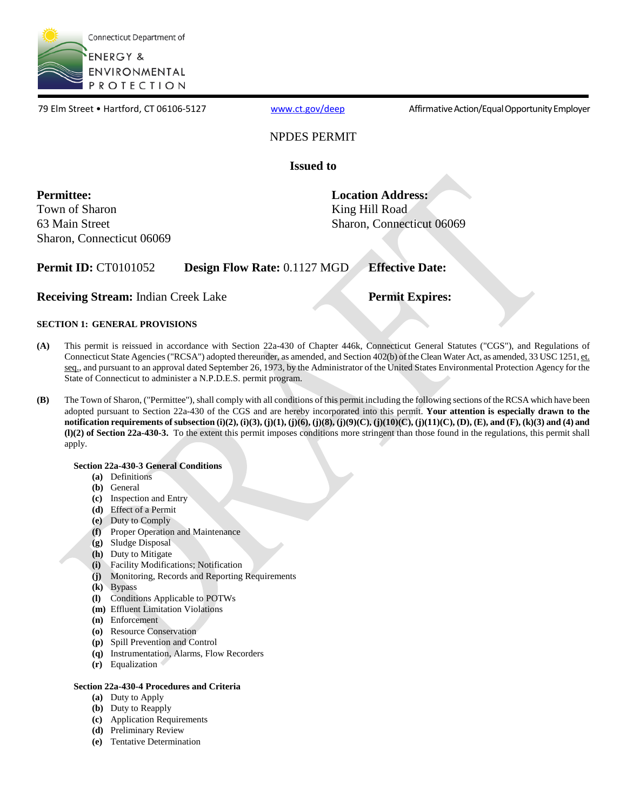

79 Elm Street • Hartford, CT 06106-5127 [www.ct.gov/deep](http://www.ct.gov/deep) Affirmative Action/Equal Opportunity Employer

### NPDES PERMIT

**Issued to**

Town of Sharon **King Hill Road** Sharon, Connecticut 06069

**Permittee: Location Address:** 63 Main Street Sharon, Connecticut 06069

**Permit ID:** CT0101052 **Design Flow Rate:** 0.1127 MGD **Effective Date:**

**Receiving Stream:** Indian Creek Lake **Permit Expires:** 

### **SECTION 1: GENERAL PROVISIONS**

- **(A)** This permit is reissued in accordance with Section 22a-430 of Chapter 446k, Connecticut General Statutes ("CGS"), and Regulations of Connecticut State Agencies ("RCSA") adopted thereunder, as amended, and Section 402(b) of the Clean Water Act, as amended, 33 USC 1251, et. seq., and pursuant to an approval dated September 26, 1973, by the Administrator of the United States Environmental Protection Agency for the State of Connecticut to administer a N.P.D.E.S. permit program.
- **(B)** The Town of Sharon, ("Permittee"), shall comply with all conditions of this permit including the following sections of the RCSA which have been adopted pursuant to Section 22a-430 of the CGS and are hereby incorporated into this permit. **Your attention is especially drawn to the notification requirements of subsection (i)(2), (i)(3), (j)(1), (j)(6), (j)(8), (j)(9)(C), (j)(10)(C), (j)(11)(C), (D), (E), and (F), (k)(3) and (4) and (l)(2) of Section 22a-430-3.** To the extent this permit imposes conditions more stringent than those found in the regulations, this permit shall apply.

### **Section 22a-430-3 General Conditions**

- **(a)** Definitions
- **(b)** General
- **(c)** Inspection and Entry
- **(d)** Effect of a Permit
- **(e)** Duty to Comply
- **(f)** Proper Operation and Maintenance
- **(g)** Sludge Disposal
- **(h)** Duty to Mitigate
- **(i)** Facility Modifications; Notification
- **(j)** Monitoring, Records and Reporting Requirements
- **(k)** Bypass
- **(l)** Conditions Applicable to POTWs
- **(m)** Effluent Limitation Violations
- **(n)** Enforcement
- **(o)** Resource Conservation
- **(p)** Spill Prevention and Control
- **(q)** Instrumentation, Alarms, Flow Recorders
- **(r)** Equalization

### **Section 22a-430-4 Procedures and Criteria**

- **(a)** Duty to Apply
- **(b)** Duty to Reapply
- **(c)** Application Requirements
- **(d)** Preliminary Review
- **(e)** Tentative Determination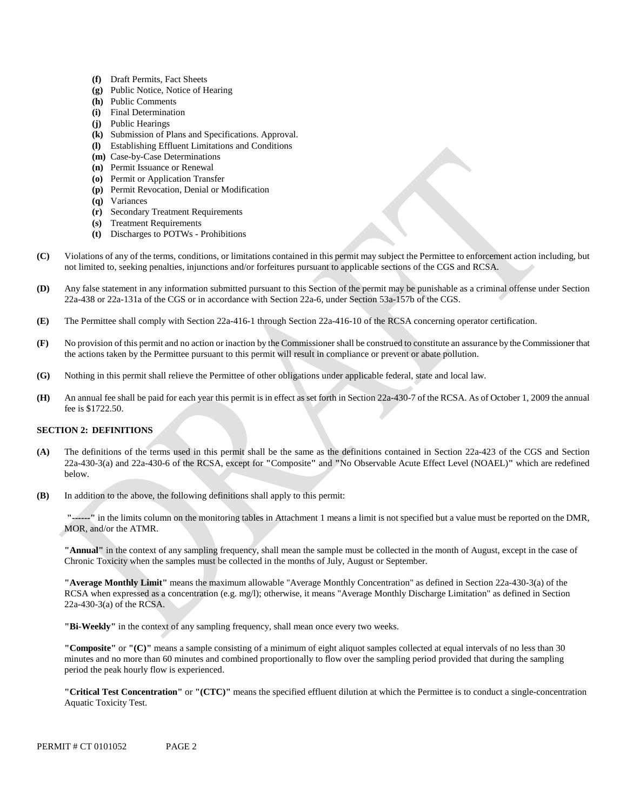- **(f)** Draft Permits, Fact Sheets
- **(g)** Public Notice, Notice of Hearing
- **(h)** Public Comments
- **(i)** Final Determination
- **(j)** Public Hearings
- **(k)** Submission of Plans and Specifications. Approval.
- **(l)** Establishing Effluent Limitations and Conditions
- **(m)** Case-by-Case Determinations
- **(n)** Permit Issuance or Renewal
- **(o)** Permit or Application Transfer
- **(p)** Permit Revocation, Denial or Modification
- **(q)** Variances
- **(r)** Secondary Treatment Requirements
- **(s)** Treatment Requirements
- **(t)** Discharges to POTWs Prohibitions
- **(C)** Violations of any of the terms, conditions, or limitations contained in this permit may subject the Permittee to enforcement action including, but not limited to, seeking penalties, injunctions and/or forfeitures pursuant to applicable sections of the CGS and RCSA.
- **(D)** Any false statement in any information submitted pursuant to this Section of the permit may be punishable as a criminal offense under Section 22a-438 or 22a-131a of the CGS or in accordance with Section 22a-6, under Section 53a-157b of the CGS.
- **(E)** The Permittee shall comply with Section 22a-416-1 through Section 22a-416-10 of the RCSA concerning operator certification.
- **(F)** No provision of this permit and no action or inaction by the Commissioner shall be construed to constitute an assurance by the Commissioner that the actions taken by the Permittee pursuant to this permit will result in compliance or prevent or abate pollution.
- **(G)** Nothing in this permit shall relieve the Permittee of other obligations under applicable federal, state and local law.
- **(H)** An annual fee shall be paid for each year this permit is in effect as set forth in Section 22a-430-7 of the RCSA. As of October 1, 2009 the annual fee is \$1722.50.

#### **SECTION 2: DEFINITIONS**

- **(A)** The definitions of the terms used in this permit shall be the same as the definitions contained in Section 22a-423 of the CGS and Section 22a-430-3(a) and 22a-430-6 of the RCSA, except for **"**Composite**"** and **"**No Observable Acute Effect Level (NOAEL)**"** which are redefined below.
- **(B)** In addition to the above, the following definitions shall apply to this permit:

 **"------"** in the limits column on the monitoring tables in Attachment 1 means a limit is not specified but a value must be reported on the DMR, MOR, and/or the ATMR.

**"Annual"** in the context of any sampling frequency, shall mean the sample must be collected in the month of August, except in the case of Chronic Toxicity when the samples must be collected in the months of July, August or September.

**"Average Monthly Limit"** means the maximum allowable "Average Monthly Concentration" as defined in Section 22a-430-3(a) of the RCSA when expressed as a concentration (e.g. mg/l); otherwise, it means "Average Monthly Discharge Limitation" as defined in Section 22a-430-3(a) of the RCSA.

**"Bi-Weekly"** in the context of any sampling frequency, shall mean once every two weeks.

**"Composite"** or **"(C)"** means a sample consisting of a minimum of eight aliquot samples collected at equal intervals of no less than 30 minutes and no more than 60 minutes and combined proportionally to flow over the sampling period provided that during the sampling period the peak hourly flow is experienced.

**"Critical Test Concentration"** or **"(CTC)"** means the specified effluent dilution at which the Permittee is to conduct a single-concentration Aquatic Toxicity Test.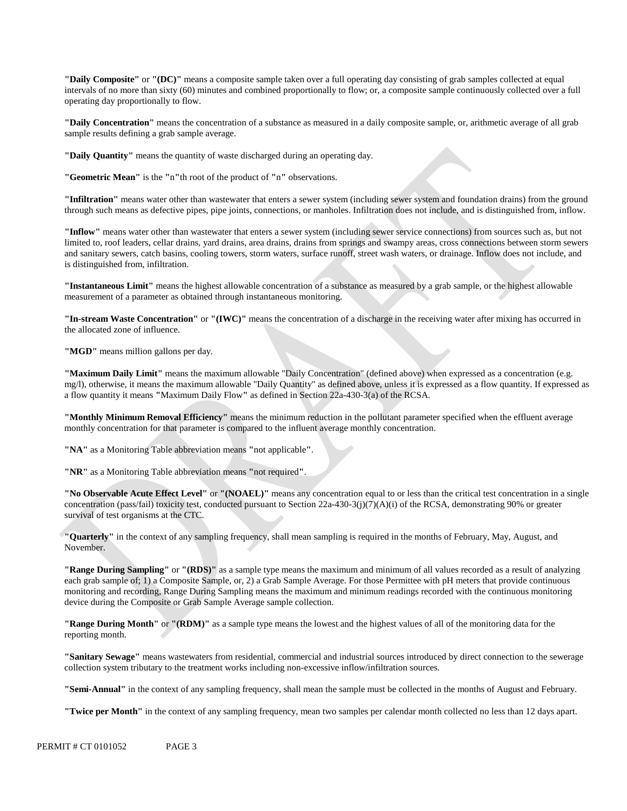**"Daily Composite"** or **"(DC)"** means a composite sample taken over a full operating day consisting of grab samples collected at equal intervals of no more than sixty (60) minutes and combined proportionally to flow; or, a composite sample continuously collected over a full operating day proportionally to flow.

**"Daily Concentration"** means the concentration of a substance as measured in a daily composite sample, or, arithmetic average of all grab sample results defining a grab sample average.

**"Daily Quantity"** means the quantity of waste discharged during an operating day.

**"Geometric Mean"** is the **"**n**"**th root of the product of **"**n**"** observations.

**"Infiltration"** means water other than wastewater that enters a sewer system (including sewer system and foundation drains) from the ground through such means as defective pipes, pipe joints, connections, or manholes. Infiltration does not include, and is distinguished from, inflow.

**"Inflow"** means water other than wastewater that enters a sewer system (including sewer service connections) from sources such as, but not limited to, roof leaders, cellar drains, yard drains, area drains, drains from springs and swampy areas, cross connections between storm sewers and sanitary sewers, catch basins, cooling towers, storm waters, surface runoff, street wash waters, or drainage. Inflow does not include, and is distinguished from, infiltration.

**"Instantaneous Limit"** means the highest allowable concentration of a substance as measured by a grab sample, or the highest allowable measurement of a parameter as obtained through instantaneous monitoring.

**"In-stream Waste Concentration"** or **"(IWC)"** means the concentration of a discharge in the receiving water after mixing has occurred in the allocated zone of influence.

**"MGD"** means million gallons per day.

**"Maximum Daily Limit"** means the maximum allowable "Daily Concentration" (defined above) when expressed as a concentration (e.g. mg/l), otherwise, it means the maximum allowable "Daily Quantity" as defined above, unless it is expressed as a flow quantity. If expressed as a flow quantity it means **"**Maximum Daily Flow**"** as defined in Section 22a-430-3(a) of the RCSA.

 **"Monthly Minimum Removal Efficiency"** means the minimum reduction in the pollutant parameter specified when the effluent average monthly concentration for that parameter is compared to the influent average monthly concentration.

**"NA"** as a Monitoring Table abbreviation means **"**not applicable**"**.

**"NR"** as a Monitoring Table abbreviation means **"**not required**"**.

**"No Observable Acute Effect Level"** or **"(NOAEL)"** means any concentration equal to or less than the critical test concentration in a single concentration (pass/fail) toxicity test, conducted pursuant to Section 22a-430-3(j)(7)(A)(i) of the RCSA, demonstrating 90% or greater survival of test organisms at the CTC.

**"Quarterly"** in the context of any sampling frequency, shall mean sampling is required in the months of February, May, August, and November.

**"Range During Sampling"** or **"(RDS)"** as a sample type means the maximum and minimum of all values recorded as a result of analyzing each grab sample of; 1) a Composite Sample, or, 2) a Grab Sample Average. For those Permittee with pH meters that provide continuous monitoring and recording, Range During Sampling means the maximum and minimum readings recorded with the continuous monitoring device during the Composite or Grab Sample Average sample collection.

**"Range During Month"** or **"(RDM)"** as a sample type means the lowest and the highest values of all of the monitoring data for the reporting month.

**"Sanitary Sewage"** means wastewaters from residential, commercial and industrial sources introduced by direct connection to the sewerage collection system tributary to the treatment works including non-excessive inflow/infiltration sources.

**"Semi-Annual"** in the context of any sampling frequency, shall mean the sample must be collected in the months of August and February.

**"Twice per Month"** in the context of any sampling frequency, mean two samples per calendar month collected no less than 12 days apart.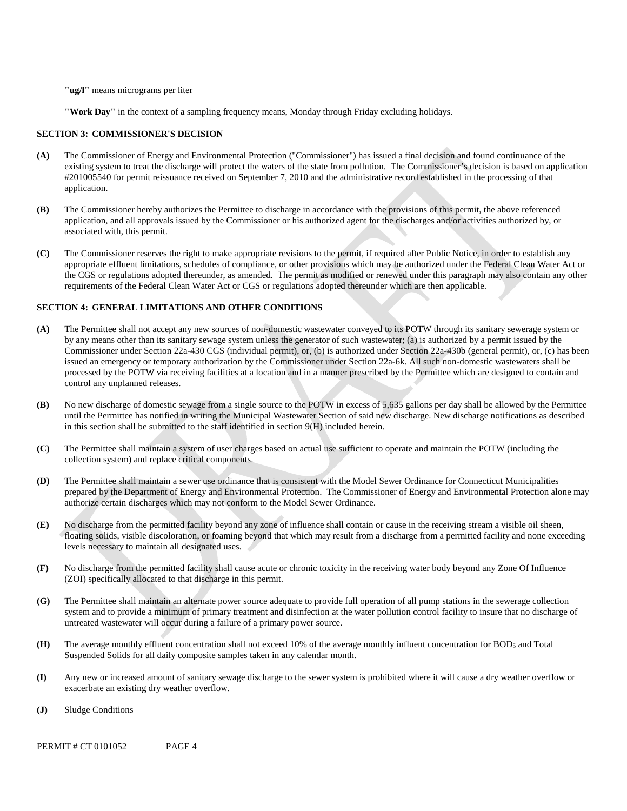**"ug/l"** means micrograms per liter

**"Work Day"** in the context of a sampling frequency means, Monday through Friday excluding holidays.

#### **SECTION 3: COMMISSIONER'S DECISION**

- **(A)** The Commissioner of Energy and Environmental Protection ("Commissioner") has issued a final decision and found continuance of the existing system to treat the discharge will protect the waters of the state from pollution. The Commissioner's decision is based on application #201005540 for permit reissuance received on September 7, 2010 and the administrative record established in the processing of that application.
- **(B)** The Commissioner hereby authorizes the Permittee to discharge in accordance with the provisions of this permit, the above referenced application, and all approvals issued by the Commissioner or his authorized agent for the discharges and/or activities authorized by, or associated with, this permit.
- **(C)** The Commissioner reserves the right to make appropriate revisions to the permit, if required after Public Notice, in order to establish any appropriate effluent limitations, schedules of compliance, or other provisions which may be authorized under the Federal Clean Water Act or the CGS or regulations adopted thereunder, as amended. The permit as modified or renewed under this paragraph may also contain any other requirements of the Federal Clean Water Act or CGS or regulations adopted thereunder which are then applicable.

#### **SECTION 4: GENERAL LIMITATIONS AND OTHER CONDITIONS**

- **(A)** The Permittee shall not accept any new sources of non-domestic wastewater conveyed to its POTW through its sanitary sewerage system or by any means other than its sanitary sewage system unless the generator of such wastewater; (a) is authorized by a permit issued by the Commissioner under Section 22a-430 CGS (individual permit), or, (b) is authorized under Section 22a-430b (general permit), or, (c) has been issued an emergency or temporary authorization by the Commissioner under Section 22a-6k. All such non-domestic wastewaters shall be processed by the POTW via receiving facilities at a location and in a manner prescribed by the Permittee which are designed to contain and control any unplanned releases.
- **(B)** No new discharge of domestic sewage from a single source to the POTW in excess of 5,635 gallons per day shall be allowed by the Permittee until the Permittee has notified in writing the Municipal Wastewater Section of said new discharge. New discharge notifications as described in this section shall be submitted to the staff identified in section 9(H) included herein.
- **(C)** The Permittee shall maintain a system of user charges based on actual use sufficient to operate and maintain the POTW (including the collection system) and replace critical components.
- **(D)** The Permittee shall maintain a sewer use ordinance that is consistent with the Model Sewer Ordinance for Connecticut Municipalities prepared by the Department of Energy and Environmental Protection. The Commissioner of Energy and Environmental Protection alone may authorize certain discharges which may not conform to the Model Sewer Ordinance.
- **(E)** No discharge from the permitted facility beyond any zone of influence shall contain or cause in the receiving stream a visible oil sheen, floating solids, visible discoloration, or foaming beyond that which may result from a discharge from a permitted facility and none exceeding levels necessary to maintain all designated uses.
- **(F)** No discharge from the permitted facility shall cause acute or chronic toxicity in the receiving water body beyond any Zone Of Influence (ZOI) specifically allocated to that discharge in this permit.
- **(G)** The Permittee shall maintain an alternate power source adequate to provide full operation of all pump stations in the sewerage collection system and to provide a minimum of primary treatment and disinfection at the water pollution control facility to insure that no discharge of untreated wastewater will occur during a failure of a primary power source.
- **(H)** The average monthly effluent concentration shall not exceed 10% of the average monthly influent concentration for BOD5 and Total Suspended Solids for all daily composite samples taken in any calendar month.
- **(I)** Any new or increased amount of sanitary sewage discharge to the sewer system is prohibited where it will cause a dry weather overflow or exacerbate an existing dry weather overflow.
- **(J)** Sludge Conditions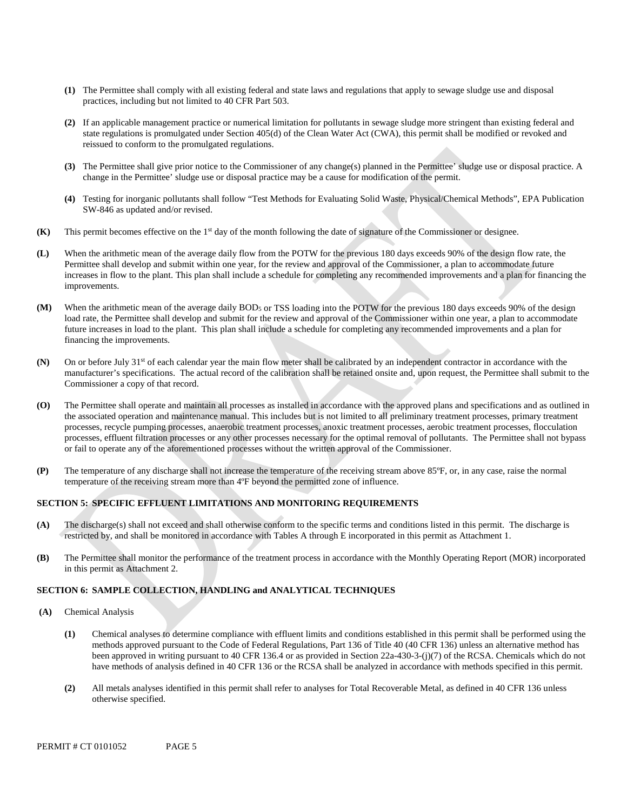- **(1)** The Permittee shall comply with all existing federal and state laws and regulations that apply to sewage sludge use and disposal practices, including but not limited to 40 CFR Part 503.
- **(2)** If an applicable management practice or numerical limitation for pollutants in sewage sludge more stringent than existing federal and state regulations is promulgated under Section 405(d) of the Clean Water Act (CWA), this permit shall be modified or revoked and reissued to conform to the promulgated regulations.
- **(3)** The Permittee shall give prior notice to the Commissioner of any change(s) planned in the Permittee' sludge use or disposal practice. A change in the Permittee' sludge use or disposal practice may be a cause for modification of the permit.
- **(4)** Testing for inorganic pollutants shall follow "Test Methods for Evaluating Solid Waste, Physical/Chemical Methods", EPA Publication SW-846 as updated and/or revised.
- **(K)** This permit becomes effective on the 1st day of the month following the date of signature of the Commissioner or designee.
- **(L)** When the arithmetic mean of the average daily flow from the POTW for the previous 180 days exceeds 90% of the design flow rate, the Permittee shall develop and submit within one year, for the review and approval of the Commissioner, a plan to accommodate future increases in flow to the plant. This plan shall include a schedule for completing any recommended improvements and a plan for financing the improvements.
- **(M)** When the arithmetic mean of the average daily BOD5 or TSS loading into the POTW for the previous 180 days exceeds 90% of the design load rate, the Permittee shall develop and submit for the review and approval of the Commissioner within one year, a plan to accommodate future increases in load to the plant. This plan shall include a schedule for completing any recommended improvements and a plan for financing the improvements.
- **(N)** On or before July 31st of each calendar year the main flow meter shall be calibrated by an independent contractor in accordance with the manufacturer's specifications. The actual record of the calibration shall be retained onsite and, upon request, the Permittee shall submit to the Commissioner a copy of that record.
- **(O)** The Permittee shall operate and maintain all processes as installed in accordance with the approved plans and specifications and as outlined in the associated operation and maintenance manual. This includes but is not limited to all preliminary treatment processes, primary treatment processes, recycle pumping processes, anaerobic treatment processes, anoxic treatment processes, aerobic treatment processes, flocculation processes, effluent filtration processes or any other processes necessary for the optimal removal of pollutants. The Permittee shall not bypass or fail to operate any of the aforementioned processes without the written approval of the Commissioner.
- **(P)** The temperature of any discharge shall not increase the temperature of the receiving stream above 85ºF, or, in any case, raise the normal temperature of the receiving stream more than 4ºF beyond the permitted zone of influence.

### **SECTION 5: SPECIFIC EFFLUENT LIMITATIONS AND MONITORING REQUIREMENTS**

- **(A)** The discharge(s) shall not exceed and shall otherwise conform to the specific terms and conditions listed in this permit. The discharge is restricted by, and shall be monitored in accordance with Tables A through E incorporated in this permit as Attachment 1.
- **(B)** The Permittee shall monitor the performance of the treatment process in accordance with the Monthly Operating Report (MOR) incorporated in this permit as Attachment 2.

### **SECTION 6: SAMPLE COLLECTION, HANDLING and ANALYTICAL TECHNIQUES**

- **(A)** Chemical Analysis
	- **(1)** Chemical analyses to determine compliance with effluent limits and conditions established in this permit shall be performed using the methods approved pursuant to the Code of Federal Regulations, Part 136 of Title 40 (40 CFR 136) unless an alternative method has been approved in writing pursuant to 40 CFR 136.4 or as provided in Section 22a-430-3-(j)(7) of the RCSA. Chemicals which do not have methods of analysis defined in 40 CFR 136 or the RCSA shall be analyzed in accordance with methods specified in this permit.
	- **(2)** All metals analyses identified in this permit shall refer to analyses for Total Recoverable Metal, as defined in 40 CFR 136 unless otherwise specified.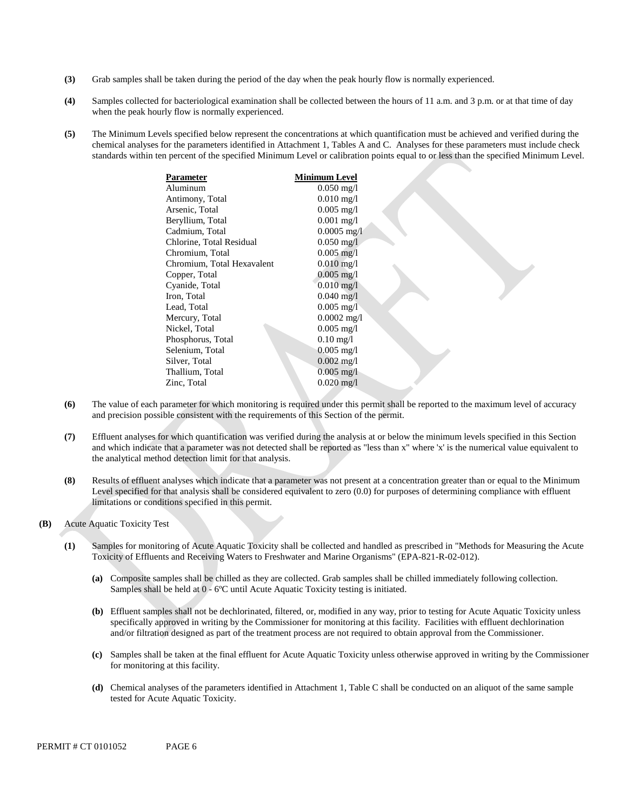- **(3)** Grab samples shall be taken during the period of the day when the peak hourly flow is normally experienced.
- **(4)** Samples collected for bacteriological examination shall be collected between the hours of 11 a.m. and 3 p.m. or at that time of day when the peak hourly flow is normally experienced.
- **(5)** The Minimum Levels specified below represent the concentrations at which quantification must be achieved and verified during the chemical analyses for the parameters identified in Attachment 1, Tables A and C. Analyses for these parameters must include check standards within ten percent of the specified Minimum Level or calibration points equal to or less than the specified Minimum Level.

| Parameter                  | Minimum Level           |  |
|----------------------------|-------------------------|--|
| Aluminum                   | $0.050 \,\mathrm{mg}/l$ |  |
| Antimony, Total            | $0.010 \,\mathrm{mg}/l$ |  |
| Arsenic, Total             | $0.005 \text{ mg/l}$    |  |
| Beryllium, Total           | $0.001$ mg/l            |  |
| Cadmium, Total             | $0.0005$ mg/l           |  |
| Chlorine, Total Residual   | $0.050$ mg/l            |  |
| Chromium, Total            | $0.005 \,\mathrm{mg}/l$ |  |
| Chromium, Total Hexavalent | $0.010 \,\mathrm{mg}/l$ |  |
| Copper, Total              | $0.005 \text{ mg}/l$    |  |
| Cyanide, Total             | $0.010 \,\mathrm{mg}/l$ |  |
| Iron, Total                | $0.040$ mg/l            |  |
| Lead, Total                | $0.005$ mg/I            |  |
| Mercury, Total             | $0.0002$ mg/l           |  |
| Nickel, Total              | $0.005 \text{ mg/l}$    |  |
| Phosphorus, Total          | $0.10 \,\mathrm{mg}/l$  |  |
| Selenium, Total            | $0.005 \text{ mg/l}$    |  |
| Silver, Total              | $0.002 \text{ mg/l}$    |  |
| Thallium, Total            | $0.005$ mg/l            |  |
| Zinc, Total                | $0.020 \,\mathrm{mg}/l$ |  |
|                            |                         |  |

- **(6)** The value of each parameter for which monitoring is required under this permit shall be reported to the maximum level of accuracy and precision possible consistent with the requirements of this Section of the permit.
- **(7)** Effluent analyses for which quantification was verified during the analysis at or below the minimum levels specified in this Section and which indicate that a parameter was not detected shall be reported as "less than x" where 'x' is the numerical value equivalent to the analytical method detection limit for that analysis.
- **(8)** Results of effluent analyses which indicate that a parameter was not present at a concentration greater than or equal to the Minimum Level specified for that analysis shall be considered equivalent to zero (0.0) for purposes of determining compliance with effluent limitations or conditions specified in this permit.
- **(B)** Acute Aquatic Toxicity Test
	- **(1)** Samples for monitoring of Acute Aquatic Toxicity shall be collected and handled as prescribed in "Methods for Measuring the Acute Toxicity of Effluents and Receiving Waters to Freshwater and Marine Organisms" (EPA-821-R-02-012).
		- **(a)** Composite samples shall be chilled as they are collected. Grab samples shall be chilled immediately following collection. Samples shall be held at 0 - 6ºC until Acute Aquatic Toxicity testing is initiated.
		- **(b)** Effluent samples shall not be dechlorinated, filtered, or, modified in any way, prior to testing for Acute Aquatic Toxicity unless specifically approved in writing by the Commissioner for monitoring at this facility. Facilities with effluent dechlorination and/or filtration designed as part of the treatment process are not required to obtain approval from the Commissioner.
		- **(c)** Samples shall be taken at the final effluent for Acute Aquatic Toxicity unless otherwise approved in writing by the Commissioner for monitoring at this facility.
		- **(d)** Chemical analyses of the parameters identified in Attachment 1, Table C shall be conducted on an aliquot of the same sample tested for Acute Aquatic Toxicity.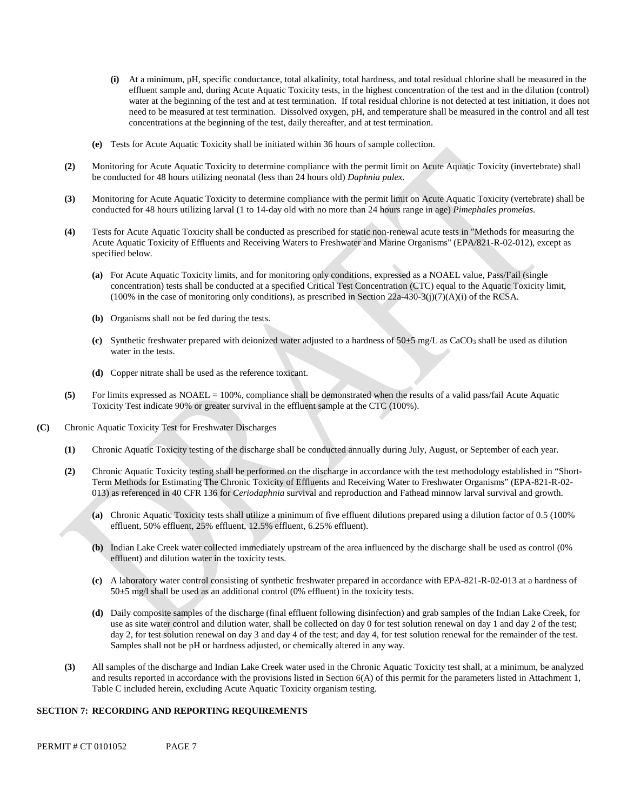- **(i)** At a minimum, pH, specific conductance, total alkalinity, total hardness, and total residual chlorine shall be measured in the effluent sample and, during Acute Aquatic Toxicity tests, in the highest concentration of the test and in the dilution (control) water at the beginning of the test and at test termination. If total residual chlorine is not detected at test initiation, it does not need to be measured at test termination. Dissolved oxygen, pH, and temperature shall be measured in the control and all test concentrations at the beginning of the test, daily thereafter, and at test termination.
- **(e)** Tests for Acute Aquatic Toxicity shall be initiated within 36 hours of sample collection.
- **(2)** Monitoring for Acute Aquatic Toxicity to determine compliance with the permit limit on Acute Aquatic Toxicity (invertebrate) shall be conducted for 48 hours utilizing neonatal (less than 24 hours old) *Daphnia pulex*.
- **(3)** Monitoring for Acute Aquatic Toxicity to determine compliance with the permit limit on Acute Aquatic Toxicity (vertebrate) shall be conducted for 48 hours utilizing larval (1 to 14-day old with no more than 24 hours range in age) *Pimephales promelas*.
- **(4)** Tests for Acute Aquatic Toxicity shall be conducted as prescribed for static non-renewal acute tests in "Methods for measuring the Acute Aquatic Toxicity of Effluents and Receiving Waters to Freshwater and Marine Organisms" (EPA/821-R-02-012), except as specified below.
	- **(a)** For Acute Aquatic Toxicity limits, and for monitoring only conditions, expressed as a NOAEL value, Pass/Fail (single concentration) tests shall be conducted at a specified Critical Test Concentration (CTC) equal to the Aquatic Toxicity limit,  $(100\%$  in the case of monitoring only conditions), as prescribed in Section 22a-430-3(j)(7)(A)(i) of the RCSA.
	- **(b)** Organisms shall not be fed during the tests.
	- (c) Synthetic freshwater prepared with deionized water adjusted to a hardness of  $50±5$  mg/L as CaCO<sub>3</sub> shall be used as dilution water in the tests.
	- **(d)** Copper nitrate shall be used as the reference toxicant.
- **(5)** For limits expressed as NOAEL = 100%, compliance shall be demonstrated when the results of a valid pass/fail Acute Aquatic Toxicity Test indicate 90% or greater survival in the effluent sample at the CTC (100%).
- **(C)** Chronic Aquatic Toxicity Test for Freshwater Discharges
	- **(1)** Chronic Aquatic Toxicity testing of the discharge shall be conducted annually during July, August, or September of each year.
	- **(2)** Chronic Aquatic Toxicity testing shall be performed on the discharge in accordance with the test methodology established in "Short-Term Methods for Estimating The Chronic Toxicity of Effluents and Receiving Water to Freshwater Organisms" (EPA-821-R-02- 013) as referenced in 40 CFR 136 for *Ceriodaphnia* survival and reproduction and Fathead minnow larval survival and growth.
		- **(a)** Chronic Aquatic Toxicity tests shall utilize a minimum of five effluent dilutions prepared using a dilution factor of 0.5 (100% effluent, 50% effluent, 25% effluent, 12.5% effluent, 6.25% effluent).
		- **(b)** Indian Lake Creek water collected immediately upstream of the area influenced by the discharge shall be used as control (0% effluent) and dilution water in the toxicity tests.
		- **(c)** A laboratory water control consisting of synthetic freshwater prepared in accordance with EPA-821-R-02-013 at a hardness of 50±5 mg/l shall be used as an additional control (0% effluent) in the toxicity tests.
		- **(d)** Daily composite samples of the discharge (final effluent following disinfection) and grab samples of the Indian Lake Creek, for use as site water control and dilution water, shall be collected on day 0 for test solution renewal on day 1 and day 2 of the test; day 2, for test solution renewal on day 3 and day 4 of the test; and day 4, for test solution renewal for the remainder of the test. Samples shall not be pH or hardness adjusted, or chemically altered in any way.
	- **(3)** All samples of the discharge and Indian Lake Creek water used in the Chronic Aquatic Toxicity test shall, at a minimum, be analyzed and results reported in accordance with the provisions listed in Section  $6(A)$  of this permit for the parameters listed in Attachment 1, Table C included herein, excluding Acute Aquatic Toxicity organism testing.

#### **SECTION 7: RECORDING AND REPORTING REQUIREMENTS**

PERMIT # CT 0101052 PAGE 7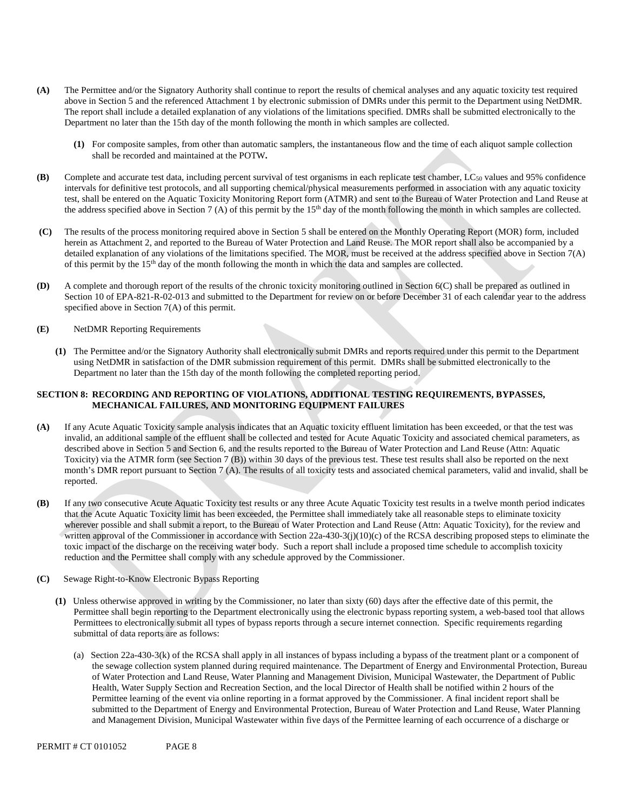- **(A)** The Permittee and/or the Signatory Authority shall continue to report the results of chemical analyses and any aquatic toxicity test required above in Section 5 and the referenced Attachment 1 by electronic submission of DMRs under this permit to the Department using NetDMR. The report shall include a detailed explanation of any violations of the limitations specified. DMRs shall be submitted electronically to the Department no later than the 15th day of the month following the month in which samples are collected.
	- **(1)** For composite samples, from other than automatic samplers, the instantaneous flow and the time of each aliquot sample collection shall be recorded and maintained at the POTW**.**
- **(B)** Complete and accurate test data, including percent survival of test organisms in each replicate test chamber, LC50 values and 95% confidence intervals for definitive test protocols, and all supporting chemical/physical measurements performed in association with any aquatic toxicity test, shall be entered on the Aquatic Toxicity Monitoring Report form (ATMR) and sent to the Bureau of Water Protection and Land Reuse at the address specified above in Section 7 (A) of this permit by the  $15<sup>th</sup>$  day of the month following the month in which samples are collected.
- **(C)** The results of the process monitoring required above in Section 5 shall be entered on the Monthly Operating Report (MOR) form, included herein as Attachment 2, and reported to the Bureau of Water Protection and Land Reuse. The MOR report shall also be accompanied by a detailed explanation of any violations of the limitations specified. The MOR, must be received at the address specified above in Section 7(A) of this permit by the 15<sup>th</sup> day of the month following the month in which the data and samples are collected.
- **(D)** A complete and thorough report of the results of the chronic toxicity monitoring outlined in Section 6(C) shall be prepared as outlined in Section 10 of EPA-821-R-02-013 and submitted to the Department for review on or before December 31 of each calendar year to the address specified above in Section 7(A) of this permit.
- **(E)** NetDMR Reporting Requirements
	- **(1)** The Permittee and/or the Signatory Authority shall electronically submit DMRs and reports required under this permit to the Department using NetDMR in satisfaction of the DMR submission requirement of this permit. DMRs shall be submitted electronically to the Department no later than the 15th day of the month following the completed reporting period.

### **SECTION 8: RECORDING AND REPORTING OF VIOLATIONS, ADDITIONAL TESTING REQUIREMENTS, BYPASSES, MECHANICAL FAILURES, AND MONITORING EQUIPMENT FAILURES**

- **(A)** If any Acute Aquatic Toxicity sample analysis indicates that an Aquatic toxicity effluent limitation has been exceeded, or that the test was invalid, an additional sample of the effluent shall be collected and tested for Acute Aquatic Toxicity and associated chemical parameters, as described above in Section 5 and Section 6, and the results reported to the Bureau of Water Protection and Land Reuse (Attn: Aquatic Toxicity) via the ATMR form (see Section 7 (B)) within 30 days of the previous test. These test results shall also be reported on the next month's DMR report pursuant to Section 7 (A). The results of all toxicity tests and associated chemical parameters, valid and invalid, shall be reported.
- **(B)** If any two consecutive Acute Aquatic Toxicity test results or any three Acute Aquatic Toxicity test results in a twelve month period indicates that the Acute Aquatic Toxicity limit has been exceeded, the Permittee shall immediately take all reasonable steps to eliminate toxicity wherever possible and shall submit a report, to the Bureau of Water Protection and Land Reuse (Attn: Aquatic Toxicity), for the review and written approval of the Commissioner in accordance with Section  $22a-430-3(j)(10)(c)$  of the RCSA describing proposed steps to eliminate the toxic impact of the discharge on the receiving water body. Such a report shall include a proposed time schedule to accomplish toxicity reduction and the Permittee shall comply with any schedule approved by the Commissioner.
- **(C)** Sewage Right-to-Know Electronic Bypass Reporting
	- **(1)** Unless otherwise approved in writing by the Commissioner, no later than sixty (60) days after the effective date of this permit, the Permittee shall begin reporting to the Department electronically using the electronic bypass reporting system, a web-based tool that allows Permittees to electronically submit all types of bypass reports through a secure internet connection. Specific requirements regarding submittal of data reports are as follows:
		- (a) Section 22a-430-3(k) of the RCSA shall apply in all instances of bypass including a bypass of the treatment plant or a component of the sewage collection system planned during required maintenance. The Department of Energy and Environmental Protection, Bureau of Water Protection and Land Reuse, Water Planning and Management Division, Municipal Wastewater, the Department of Public Health, Water Supply Section and Recreation Section, and the local Director of Health shall be notified within 2 hours of the Permittee learning of the event via online reporting in a format approved by the Commissioner. A final incident report shall be submitted to the Department of Energy and Environmental Protection, Bureau of Water Protection and Land Reuse, Water Planning and Management Division, Municipal Wastewater within five days of the Permittee learning of each occurrence of a discharge or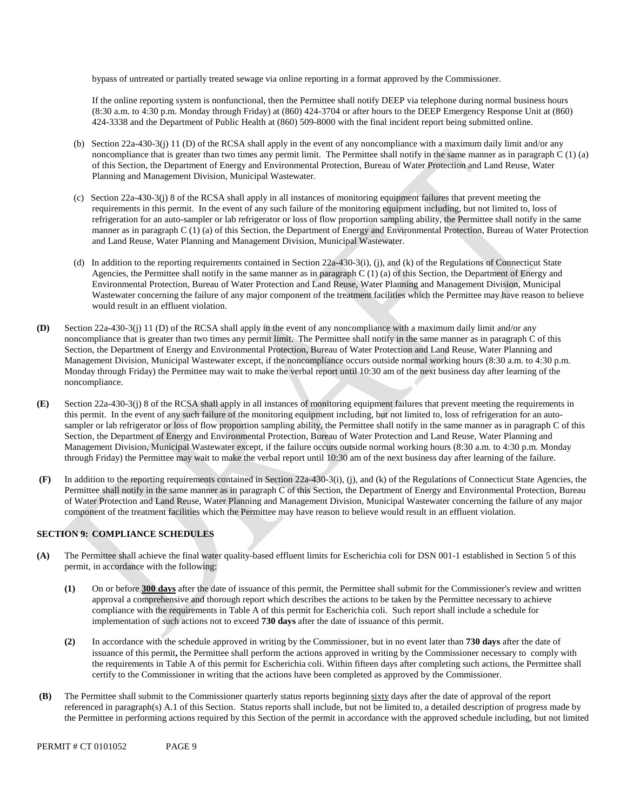bypass of untreated or partially treated sewage via online reporting in a format approved by the Commissioner.

If the online reporting system is nonfunctional, then the Permittee shall notify DEEP via telephone during normal business hours (8:30 a.m. to 4:30 p.m. Monday through Friday) at (860) 424-3704 or after hours to the DEEP Emergency Response Unit at (860) 424-3338 and the Department of Public Health at (860) 509-8000 with the final incident report being submitted online.

- (b) Section 22a-430-3(j) 11 (D) of the RCSA shall apply in the event of any noncompliance with a maximum daily limit and/or any noncompliance that is greater than two times any permit limit. The Permittee shall notify in the same manner as in paragraph C (1) (a) of this Section, the Department of Energy and Environmental Protection, Bureau of Water Protection and Land Reuse, Water Planning and Management Division, Municipal Wastewater.
- (c) Section 22a-430-3(j) 8 of the RCSA shall apply in all instances of monitoring equipment failures that prevent meeting the requirements in this permit. In the event of any such failure of the monitoring equipment including, but not limited to, loss of refrigeration for an auto-sampler or lab refrigerator or loss of flow proportion sampling ability, the Permittee shall notify in the same manner as in paragraph C (1) (a) of this Section, the Department of Energy and Environmental Protection, Bureau of Water Protection and Land Reuse, Water Planning and Management Division, Municipal Wastewater.
- (d) In addition to the reporting requirements contained in Section 22a-430-3(i), (j), and (k) of the Regulations of Connecticut State Agencies, the Permittee shall notify in the same manner as in paragraph C (1) (a) of this Section, the Department of Energy and Environmental Protection, Bureau of Water Protection and Land Reuse, Water Planning and Management Division, Municipal Wastewater concerning the failure of any major component of the treatment facilities which the Permittee may have reason to believe would result in an effluent violation.
- **(D)** Section 22a-430-3(j) 11 (D) of the RCSA shall apply in the event of any noncompliance with a maximum daily limit and/or any noncompliance that is greater than two times any permit limit. The Permittee shall notify in the same manner as in paragraph C of this Section, the Department of Energy and Environmental Protection, Bureau of Water Protection and Land Reuse, Water Planning and Management Division, Municipal Wastewater except, if the noncompliance occurs outside normal working hours (8:30 a.m. to 4:30 p.m. Monday through Friday) the Permittee may wait to make the verbal report until 10:30 am of the next business day after learning of the noncompliance.
- **(E)** Section 22a-430-3(j) 8 of the RCSA shall apply in all instances of monitoring equipment failures that prevent meeting the requirements in this permit. In the event of any such failure of the monitoring equipment including, but not limited to, loss of refrigeration for an autosampler or lab refrigerator or loss of flow proportion sampling ability, the Permittee shall notify in the same manner as in paragraph C of this Section, the Department of Energy and Environmental Protection, Bureau of Water Protection and Land Reuse, Water Planning and Management Division, Municipal Wastewater except, if the failure occurs outside normal working hours (8:30 a.m. to 4:30 p.m. Monday through Friday) the Permittee may wait to make the verbal report until 10:30 am of the next business day after learning of the failure.
- **(F)** In addition to the reporting requirements contained in Section 22a-430-3(i), (j), and (k) of the Regulations of Connecticut State Agencies, the Permittee shall notify in the same manner as in paragraph C of this Section, the Department of Energy and Environmental Protection, Bureau of Water Protection and Land Reuse, Water Planning and Management Division, Municipal Wastewater concerning the failure of any major component of the treatment facilities which the Permittee may have reason to believe would result in an effluent violation.

### **SECTION 9: COMPLIANCE SCHEDULES**

- **(A)** The Permittee shall achieve the final water quality-based effluent limits for Escherichia coli for DSN 001-1 established in Section 5 of this permit, in accordance with the following:
	- **(1)** On or before **300 days** after the date of issuance of this permit, the Permittee shall submit for the Commissioner's review and written approval a comprehensive and thorough report which describes the actions to be taken by the Permittee necessary to achieve compliance with the requirements in Table A of this permit for Escherichia coli. Such report shall include a schedule for implementation of such actions not to exceed **730 days** after the date of issuance of this permit.
	- **(2)** In accordance with the schedule approved in writing by the Commissioner, but in no event later than **730 days** after the date of issuance of this permit**,** the Permittee shall perform the actions approved in writing by the Commissioner necessary to comply with the requirements in Table A of this permit for Escherichia coli. Within fifteen days after completing such actions, the Permittee shall certify to the Commissioner in writing that the actions have been completed as approved by the Commissioner.
- **(B)** The Permittee shall submit to the Commissioner quarterly status reports beginning sixty days after the date of approval of the report referenced in paragraph(s) A.1 of this Section. Status reports shall include, but not be limited to, a detailed description of progress made by the Permittee in performing actions required by this Section of the permit in accordance with the approved schedule including, but not limited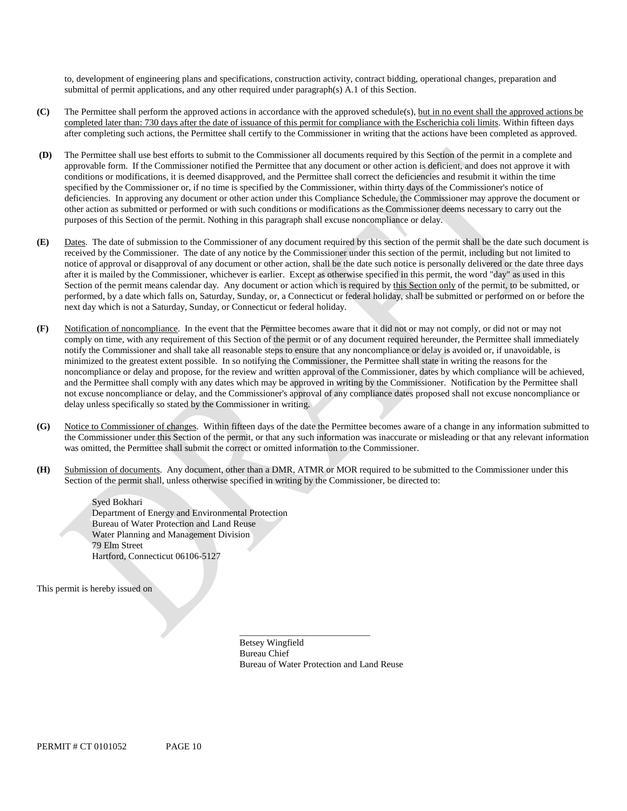to, development of engineering plans and specifications, construction activity, contract bidding, operational changes, preparation and submittal of permit applications, and any other required under paragraph(s) A.1 of this Section.

- **(C)** The Permittee shall perform the approved actions in accordance with the approved schedule(s), but in no event shall the approved actions be completed later than: 730 days after the date of issuance of this permit for compliance with the Escherichia coli limits. Within fifteen days after completing such actions, the Permittee shall certify to the Commissioner in writing that the actions have been completed as approved.
- **(D)** The Permittee shall use best efforts to submit to the Commissioner all documents required by this Section of the permit in a complete and approvable form. If the Commissioner notified the Permittee that any document or other action is deficient, and does not approve it with conditions or modifications, it is deemed disapproved, and the Permittee shall correct the deficiencies and resubmit it within the time specified by the Commissioner or, if no time is specified by the Commissioner, within thirty days of the Commissioner's notice of deficiencies. In approving any document or other action under this Compliance Schedule, the Commissioner may approve the document or other action as submitted or performed or with such conditions or modifications as the Commissioner deems necessary to carry out the purposes of this Section of the permit. Nothing in this paragraph shall excuse noncompliance or delay.
- **(E)** Dates. The date of submission to the Commissioner of any document required by this section of the permit shall be the date such document is received by the Commissioner. The date of any notice by the Commissioner under this section of the permit, including but not limited to notice of approval or disapproval of any document or other action, shall be the date such notice is personally delivered or the date three days after it is mailed by the Commissioner, whichever is earlier. Except as otherwise specified in this permit, the word "day" as used in this Section of the permit means calendar day. Any document or action which is required by this Section only of the permit, to be submitted, or performed, by a date which falls on, Saturday, Sunday, or, a Connecticut or federal holiday, shall be submitted or performed on or before the next day which is not a Saturday, Sunday, or Connecticut or federal holiday.
- **(F)** Notification of noncompliance. In the event that the Permittee becomes aware that it did not or may not comply, or did not or may not comply on time, with any requirement of this Section of the permit or of any document required hereunder, the Permittee shall immediately notify the Commissioner and shall take all reasonable steps to ensure that any noncompliance or delay is avoided or, if unavoidable, is minimized to the greatest extent possible. In so notifying the Commissioner, the Permittee shall state in writing the reasons for the noncompliance or delay and propose, for the review and written approval of the Commissioner, dates by which compliance will be achieved, and the Permittee shall comply with any dates which may be approved in writing by the Commissioner. Notification by the Permittee shall not excuse noncompliance or delay, and the Commissioner's approval of any compliance dates proposed shall not excuse noncompliance or delay unless specifically so stated by the Commissioner in writing.
- **(G)** Notice to Commissioner of changes. Within fifteen days of the date the Permittee becomes aware of a change in any information submitted to the Commissioner under this Section of the permit, or that any such information was inaccurate or misleading or that any relevant information was omitted, the Permittee shall submit the correct or omitted information to the Commissioner.
- **(H)** Submission of documents. Any document, other than a DMR, ATMR or MOR required to be submitted to the Commissioner under this Section of the permit shall, unless otherwise specified in writing by the Commissioner, be directed to:

Syed Bokhari Department of Energy and Environmental Protection Bureau of Water Protection and Land Reuse Water Planning and Management Division 79 Elm Street Hartford, Connecticut 06106-5127

This permit is hereby issued on

Betsey Wingfield Bureau Chief Bureau of Water Protection and Land Reuse

\_\_\_\_\_\_\_\_\_\_\_\_\_\_\_\_\_\_\_\_\_\_\_\_\_\_\_\_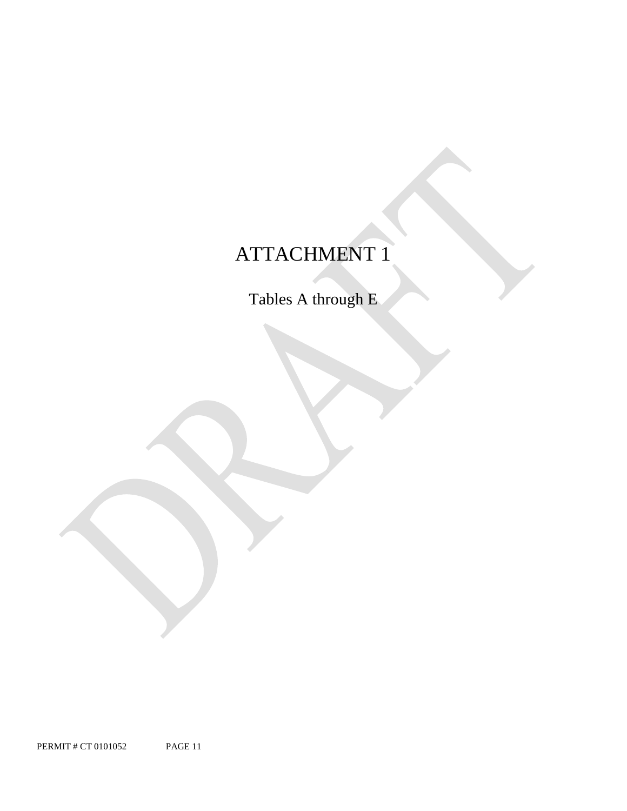# ATTACHMENT 1

Tables A through E

PERMIT # CT 0101052 PAGE 11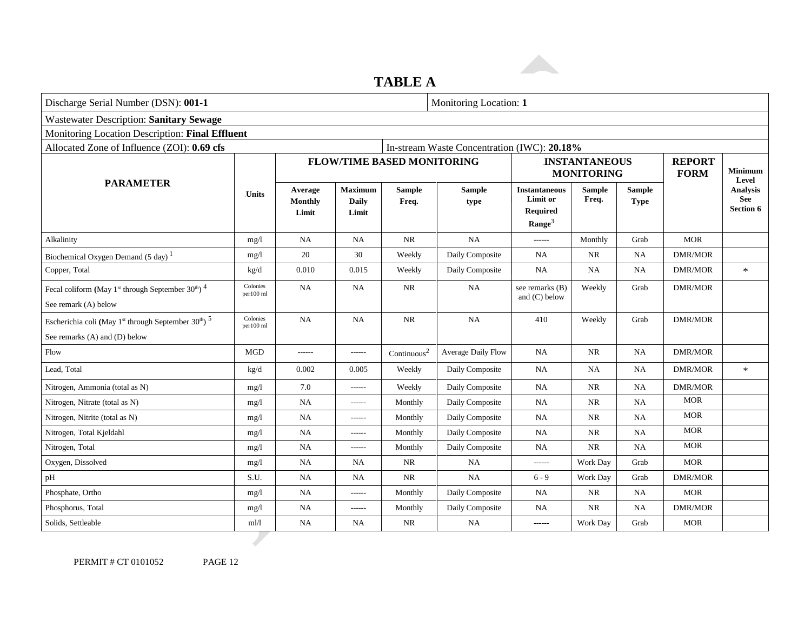### **TABLE A**

| Discharge Serial Number (DSN): 001-1                                                                                     |                       |                                    |                                         |                                   | Monitoring Location: 1                      |                                                                           |                                           |                       |                              |                              |  |  |
|--------------------------------------------------------------------------------------------------------------------------|-----------------------|------------------------------------|-----------------------------------------|-----------------------------------|---------------------------------------------|---------------------------------------------------------------------------|-------------------------------------------|-----------------------|------------------------------|------------------------------|--|--|
| <b>Wastewater Description: Sanitary Sewage</b>                                                                           |                       |                                    |                                         |                                   |                                             |                                                                           |                                           |                       |                              |                              |  |  |
| Monitoring Location Description: Final Effluent                                                                          |                       |                                    |                                         |                                   |                                             |                                                                           |                                           |                       |                              |                              |  |  |
| Allocated Zone of Influence (ZOI): 0.69 cfs                                                                              |                       |                                    |                                         |                                   | In-stream Waste Concentration (IWC): 20.18% |                                                                           |                                           |                       |                              |                              |  |  |
|                                                                                                                          |                       |                                    |                                         | <b>FLOW/TIME BASED MONITORING</b> |                                             |                                                                           | <b>INSTANTANEOUS</b><br><b>MONITORING</b> |                       | <b>REPORT</b><br><b>FORM</b> | Minimum<br>Level             |  |  |
| <b>PARAMETER</b>                                                                                                         | <b>Units</b>          | Average<br><b>Monthly</b><br>Limit | <b>Maximum</b><br><b>Daily</b><br>Limit | <b>Sample</b><br>Freq.            | <b>Sample</b><br>type                       | <b>Instantaneous</b><br>Limit or<br><b>Required</b><br>$\textbf{Range}^3$ | <b>Sample</b><br>Freq.                    | <b>Sample</b><br>Type |                              | Analysis<br>See<br>Section 6 |  |  |
| Alkalinity                                                                                                               | mg/l                  | <b>NA</b>                          | <b>NA</b>                               | $\rm NR$                          | <b>NA</b>                                   | ------                                                                    | Monthly                                   | Grab                  | <b>MOR</b>                   |                              |  |  |
| Biochemical Oxygen Demand $(5 \text{ day})$ <sup>1</sup>                                                                 | mg/1                  | 20                                 | 30                                      | Weekly                            | Daily Composite                             | NA.                                                                       | NR.                                       | NA                    | <b>DMR/MOR</b>               |                              |  |  |
| Copper, Total                                                                                                            | kg/d                  | 0.010                              | 0.015                                   | Weekly                            | Daily Composite                             | <b>NA</b>                                                                 | <b>NA</b>                                 | NA                    | <b>DMR/MOR</b>               | $\ast$                       |  |  |
| Fecal coliform (May 1 <sup>st</sup> through September 30 <sup>th</sup> ) <sup>4</sup><br>See remark (A) below            | Colonies<br>per100 ml | NA                                 | <b>NA</b>                               | <b>NR</b>                         | <b>NA</b>                                   | see remarks (B)<br>and $(C)$ below                                        | Weekly                                    | Grab                  | <b>DMR/MOR</b>               |                              |  |  |
| Escherichia coli (May 1 <sup>st</sup> through September 30 <sup>th</sup> ) <sup>5</sup><br>See remarks (A) and (D) below | Colonies<br>per100 ml | NA                                 | <b>NA</b>                               | $\rm NR$                          | NA                                          | 410                                                                       | Weekly                                    | Grab                  | <b>DMR/MOR</b>               |                              |  |  |
| Flow                                                                                                                     | <b>MGD</b>            | ------                             | ------                                  | Continuous <sup>2</sup>           | Average Daily Flow                          | NA                                                                        | <b>NR</b>                                 | <b>NA</b>             | <b>DMR/MOR</b>               |                              |  |  |
| Lead, Total                                                                                                              | kg/d                  | 0.002                              | 0.005                                   | Weekly                            | Daily Composite                             | <b>NA</b>                                                                 | NA                                        | <b>NA</b>             | DMR/MOR                      | $\ast$                       |  |  |
| Nitrogen, Ammonia (total as N)                                                                                           | mg/l                  | 7.0                                | ------                                  | Weekly                            | Daily Composite                             | NA                                                                        | <b>NR</b>                                 | NA                    | <b>DMR/MOR</b>               |                              |  |  |
| Nitrogen, Nitrate (total as N)                                                                                           | mg/l                  | <b>NA</b>                          | ------                                  | Monthly                           | Daily Composite                             | <b>NA</b>                                                                 | NR                                        | <b>NA</b>             | <b>MOR</b>                   |                              |  |  |
| Nitrogen, Nitrite (total as N)                                                                                           | mg/l                  | NA                                 | ------                                  | Monthly                           | Daily Composite                             | NA                                                                        | <b>NR</b>                                 | NA                    | <b>MOR</b>                   |                              |  |  |
| Nitrogen, Total Kjeldahl                                                                                                 | mg/l                  | NA                                 | ------                                  | Monthly                           | Daily Composite                             | NA                                                                        | <b>NR</b>                                 | <b>NA</b>             | <b>MOR</b>                   |                              |  |  |
| Nitrogen, Total                                                                                                          | mg/1                  | <b>NA</b>                          | ------                                  | Monthly                           | Daily Composite                             | <b>NA</b>                                                                 | $\rm NR$                                  | NA                    | <b>MOR</b>                   |                              |  |  |
| Oxygen, Dissolved                                                                                                        | mg/l                  | <b>NA</b>                          | NA                                      | <b>NR</b>                         | <b>NA</b>                                   | ------                                                                    | Work Day                                  | Grab                  | <b>MOR</b>                   |                              |  |  |
| pH                                                                                                                       | S.U.                  | NA                                 | NA                                      | $\rm NR$                          | <b>NA</b>                                   | $6 - 9$                                                                   | Work Day                                  | Grab                  | <b>DMR/MOR</b>               |                              |  |  |
| Phosphate, Ortho                                                                                                         | mg/1                  | <b>NA</b>                          | ------                                  | Monthly                           | Daily Composite                             | NA                                                                        | NR                                        | <b>NA</b>             | <b>MOR</b>                   |                              |  |  |
| Phosphorus, Total                                                                                                        | mg/l                  | NA                                 | ------                                  | Monthly                           | Daily Composite                             | <b>NA</b>                                                                 | <b>NR</b>                                 | NA                    | <b>DMR/MOR</b>               |                              |  |  |
| Solids, Settleable                                                                                                       | m!/l                  | NA                                 | <b>NA</b>                               | <b>NR</b>                         | NA                                          | ------                                                                    | Work Day                                  | Grab                  | <b>MOR</b>                   |                              |  |  |

PERMIT # CT 0101052 PAGE 12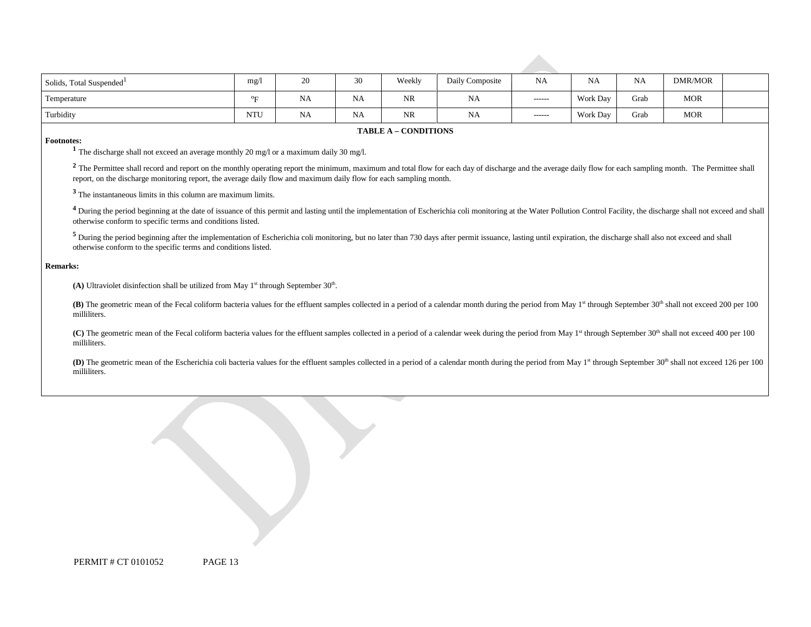| Solids, Total Suspended <sup>1</sup> | mg/                   | 20        | 30        | Weekly    | Daily Composite | <b>NA</b>     | NA              | <b>NA</b> | DMR/MOR    |  |
|--------------------------------------|-----------------------|-----------|-----------|-----------|-----------------|---------------|-----------------|-----------|------------|--|
| Temperature                          | $\sigma_{\mathbf{L}}$ | NA        | <b>NA</b> | <b>NR</b> | NA              | $- - - - - -$ | Work Day        | Grab      | MOR        |  |
| Turbidity                            | <b>NTU</b>            | <b>NA</b> | <b>NA</b> | <b>NR</b> | <b>NA</b>       | $- - - - - -$ | <b>Work Day</b> | Grab      | <b>MOR</b> |  |

#### **FABLE A – CONDITIONS**

**Footnotes: 1** The discharge shall not exceed an average monthly 20 mg/l or a maximum daily 30 mg/l.

<sup>2</sup> The Permittee shall record and report on the monthly operating report the minimum, maximum and total flow for each day of discharge and the average daily flow for each sampling month. The Permittee shall report, on the discharge monitoring report, the average daily flow and maximum daily flow for each sampling month.

**<sup>3</sup>** The instantaneous limits in this column are maximum limits.

<sup>4</sup> During the period beginning at the date of issuance of this permit and lasting until the implementation of Escherichia coli monitoring at the Water Pollution Control Facility, the discharge shall not exceed and shall otherwise conform to specific terms and conditions listed.

<sup>5</sup> During the period beginning after the implementation of Escherichia coli monitoring, but no later than 730 days after permit issuance, lasting until expiration, the discharge shall also not exceed and shall otherwise conform to the specific terms and conditions listed.

#### **Remarks:**

(A) Ultraviolet disinfection shall be utilized from May  $1<sup>st</sup>$  through September  $30<sup>th</sup>$ .

**(B)** The geometric mean of the Fecal coliform bacteria values for the effluent samples collected in a period of a calendar month during the period from May 1<sup>st</sup> through September 30<sup>th</sup> shall not exceed 200 per 100 milliliters.

(C) The geometric mean of the Fecal coliform bacteria values for the effluent samples collected in a period of a calendar week during the period from May 1<sup>st</sup> through September 30<sup>th</sup> shall not exceed 400 per 100 milliliters.

**(D)** The geometric mean of the Escherichia coli bacteria values for the effluent samples collected in a period of a calendar month during the period from May 1<sup>st</sup> through September 30<sup>th</sup> shall not exceed 126 per 100 milliliters.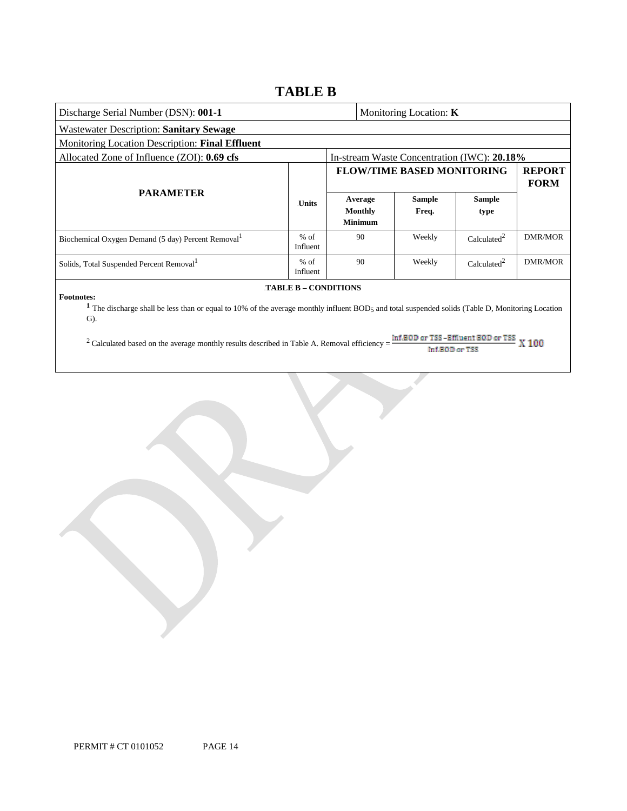### **TABLE B**

| Discharge Serial Number (DSN): 001-1                                                                                                                                                                   |                             |  |                                      | Monitoring Location: K       |                                             |                |
|--------------------------------------------------------------------------------------------------------------------------------------------------------------------------------------------------------|-----------------------------|--|--------------------------------------|------------------------------|---------------------------------------------|----------------|
| <b>Wastewater Description: Sanitary Sewage</b>                                                                                                                                                         |                             |  |                                      |                              |                                             |                |
| Monitoring Location Description: Final Effluent                                                                                                                                                        |                             |  |                                      |                              |                                             |                |
| Allocated Zone of Influence (ZOI): 0.69 cfs                                                                                                                                                            |                             |  |                                      |                              | In-stream Waste Concentration (IWC): 20.18% |                |
|                                                                                                                                                                                                        |                             |  | <b>FLOW/TIME BASED MONITORING</b>    | <b>REPORT</b><br><b>FORM</b> |                                             |                |
| <b>PARAMETER</b>                                                                                                                                                                                       | <b>Units</b>                |  | Average<br>Monthly<br><b>Minimum</b> | <b>Sample</b><br>Freq.       | <b>Sample</b><br>type                       |                |
| Biochemical Oxygen Demand (5 day) Percent Removal <sup>1</sup>                                                                                                                                         | $%$ of<br>Influent          |  | 90                                   | Weekly                       | Calculated <sup>2</sup>                     | <b>DMR/MOR</b> |
| Solids, Total Suspended Percent Removal <sup>1</sup>                                                                                                                                                   | $%$ of<br>Influent          |  | 90                                   | Weekly                       | Calculated <sup>2</sup>                     | DMR/MOR        |
| <b>Footnotes:</b><br><sup>1</sup> The discharge shall be less than or equal to 10% of the average monthly influent BOD <sub>5</sub> and total suspended solids (Table D, Monitoring Location<br>$G$ ). | <b>TABLE B - CONDITIONS</b> |  |                                      |                              |                                             |                |

<sup>2</sup> Calculated based on the average monthly results described in Table A. Removal efficiency =  $\frac{\text{Inf.BOD or TSS - ETHuent BOD or TSS}}{\text{Inf.BOD or TSS}}$  X 100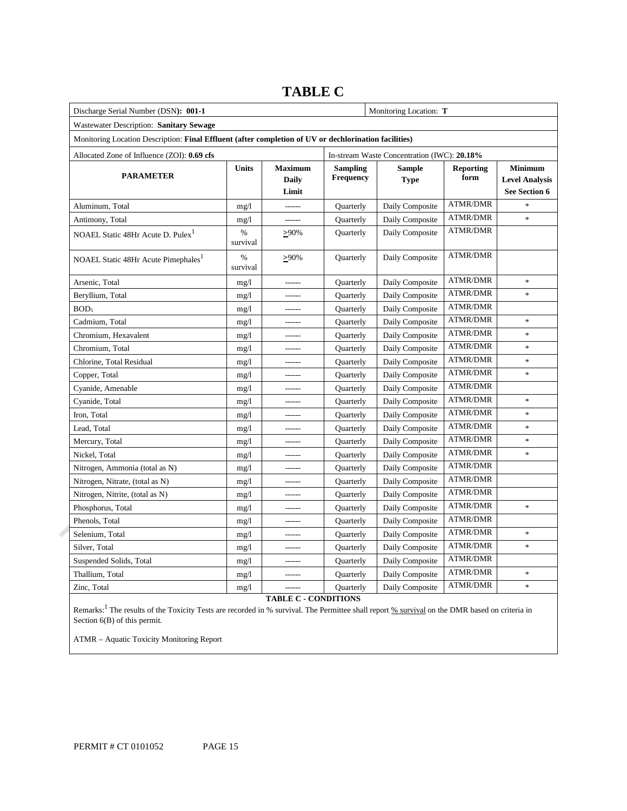| Discharge Serial Number (DSN): 001-1                                                                  |                  |                                         |                                             | Monitoring Location: T       |                          |                                                          |  |  |  |
|-------------------------------------------------------------------------------------------------------|------------------|-----------------------------------------|---------------------------------------------|------------------------------|--------------------------|----------------------------------------------------------|--|--|--|
| Wastewater Description: Sanitary Sewage                                                               |                  |                                         |                                             |                              |                          |                                                          |  |  |  |
| Monitoring Location Description: Final Effluent (after completion of UV or dechlorination facilities) |                  |                                         |                                             |                              |                          |                                                          |  |  |  |
| Allocated Zone of Influence (ZOI): 0.69 cfs                                                           |                  |                                         | In-stream Waste Concentration (IWC): 20.18% |                              |                          |                                                          |  |  |  |
| <b>PARAMETER</b>                                                                                      | <b>Units</b>     | <b>Maximum</b><br><b>Daily</b><br>Limit | <b>Sampling</b><br>Frequency                | <b>Sample</b><br><b>Type</b> | <b>Reporting</b><br>form | <b>Minimum</b><br><b>Level Analysis</b><br>See Section 6 |  |  |  |
| Aluminum. Total                                                                                       | mg/1             | ------                                  | <b>Ouarterly</b>                            | Daily Composite              | <b>ATMR/DMR</b>          | $\ast$                                                   |  |  |  |
| Antimony, Total                                                                                       | mg/1             | ------                                  | Quarterly                                   | Daily Composite              | <b>ATMR/DMR</b>          | ×.                                                       |  |  |  |
| NOAEL Static 48Hr Acute D. Pulex <sup>1</sup>                                                         | $\%$<br>survival | $>90\%$                                 | Quarterly                                   | Daily Composite              | <b>ATMR/DMR</b>          |                                                          |  |  |  |
| NOAEL Static 48Hr Acute Pimephales <sup>1</sup>                                                       | %<br>survival    | $\geq 90\%$                             | Quarterly                                   | Daily Composite              | <b>ATMR/DMR</b>          |                                                          |  |  |  |
| Arsenic, Total                                                                                        | mg/1             |                                         | Quarterly                                   | Daily Composite              | <b>ATMR/DMR</b>          | $\ast$                                                   |  |  |  |
| Beryllium, Total                                                                                      | mg/1             |                                         | <b>Ouarterly</b>                            | Daily Composite              | <b>ATMR/DMR</b>          | $\ast$                                                   |  |  |  |
| BOD <sub>5</sub>                                                                                      | mg/1             |                                         | Quarterly                                   | Daily Composite              | <b>ATMR/DMR</b>          |                                                          |  |  |  |
| Cadmium, Total                                                                                        | mg/1             |                                         | Quarterly                                   | Daily Composite              | <b>ATMR/DMR</b>          | $\ast$                                                   |  |  |  |
| Chromium, Hexavalent                                                                                  | mg/1             | ------                                  | Quarterly                                   | Daily Composite              | <b>ATMR/DMR</b>          | $\ast$                                                   |  |  |  |
| Chromium, Total                                                                                       | mg/1             |                                         | Quarterly                                   | Daily Composite              | <b>ATMR/DMR</b>          | *                                                        |  |  |  |
| Chlorine, Total Residual                                                                              | mg/1             | ------                                  | Quarterly                                   | Daily Composite              | <b>ATMR/DMR</b>          | $\ast$                                                   |  |  |  |
| Copper, Total                                                                                         | mg/1             | ------                                  | Quarterly                                   | Daily Composite              | <b>ATMR/DMR</b>          | $\ast$                                                   |  |  |  |
| Cyanide, Amenable                                                                                     | mg/1             |                                         | Quarterly                                   | Daily Composite              | <b>ATMR/DMR</b>          |                                                          |  |  |  |
| Cyanide, Total                                                                                        | mg/1             | $- - - - - -$                           | Quarterly                                   | Daily Composite              | <b>ATMR/DMR</b>          | $\frac{1}{2}$                                            |  |  |  |
| Iron, Total                                                                                           | mg/1             | ------                                  | Quarterly                                   | Daily Composite              | <b>ATMR/DMR</b>          | $\ast$                                                   |  |  |  |
| Lead, Total                                                                                           | mg/1             | $- - - - - -$                           | Quarterly                                   | Daily Composite              | <b>ATMR/DMR</b>          | $\ast$                                                   |  |  |  |
| Mercury, Total                                                                                        | mg/1             | $- - - - - -$                           | Quarterly                                   | Daily Composite              | <b>ATMR/DMR</b>          | *                                                        |  |  |  |
| Nickel, Total                                                                                         | mg/1             | $- - - - - -$                           | Quarterly                                   | Daily Composite              | <b>ATMR/DMR</b>          | $\ast$                                                   |  |  |  |
| Nitrogen, Ammonia (total as N)                                                                        | mg/1             | $- - - - - -$                           | Quarterly                                   | Daily Composite              | <b>ATMR/DMR</b>          |                                                          |  |  |  |
| Nitrogen, Nitrate, (total as N)                                                                       | mg/1             |                                         | Quarterly                                   | Daily Composite              | <b>ATMR/DMR</b>          |                                                          |  |  |  |
| Nitrogen, Nitrite, (total as N)                                                                       | mg/1             | $- - - - - -$                           | Quarterly                                   | Daily Composite              | <b>ATMR/DMR</b>          |                                                          |  |  |  |
| Phosphorus, Total                                                                                     | mg/1             | $- - - - - -$                           | Quarterly                                   | Daily Composite              | <b>ATMR/DMR</b>          | $\ast$                                                   |  |  |  |
| Phenols, Total                                                                                        | mg/1             |                                         | Quarterly                                   | Daily Composite              | <b>ATMR/DMR</b>          |                                                          |  |  |  |
| Selenium, Total                                                                                       | mg/1             | $- - - - - -$                           | Quarterly                                   | Daily Composite              | <b>ATMR/DMR</b>          | $\ast$                                                   |  |  |  |
| Silver, Total                                                                                         | mg/1             | $- - - - -$                             | Quarterly                                   | Daily Composite              | <b>ATMR/DMR</b>          | $\ast$                                                   |  |  |  |
| Suspended Solids, Total                                                                               | mg/1             |                                         | Quarterly                                   | Daily Composite              | <b>ATMR/DMR</b>          |                                                          |  |  |  |
| Thallium, Total                                                                                       | mg/1             | $- - - - -$                             | Quarterly                                   | Daily Composite              | <b>ATMR/DMR</b>          | $\frac{1}{2}$                                            |  |  |  |
| Zinc, Total                                                                                           | mg/1             | ------                                  | <b>Quarterly</b>                            | Daily Composite              | <b>ATMR/DMR</b>          | $\ast$                                                   |  |  |  |

### **TABLE C**

**TABLE C - CONDITIONS**

Remarks:<sup>1</sup> The results of the Toxicity Tests are recorded in % survival. The Permittee shall report % survival on the DMR based on criteria in Section 6(B) of this permit.

ATMR – Aquatic Toxicity Monitoring Report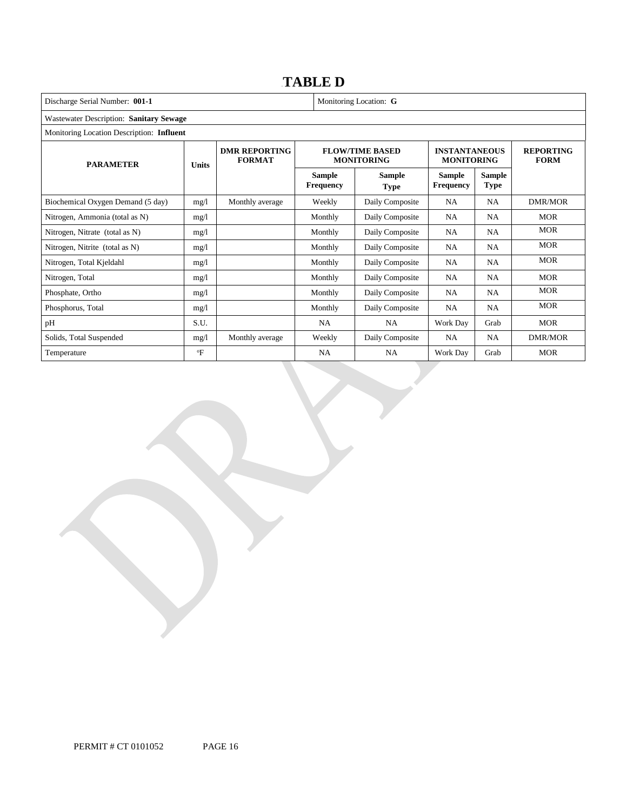### 11B**TABLE D**

Discharge Serial Number: 001-1 Monitoring Location: **G** Wastewater Description: **Sanitary Sewage** Monitoring Location Description: **Influent PARAMETER Units DMR REPORTING FORMAT FLOW/TIME BASED MONITORING INSTANTANEOUS MONITORING REPORTING FORM Sample Frequency** 9B**Sample Type Sample Frequency Sample Type** Biochemical Oxygen Demand (5 day) mg/l Monthly average Weekly Daily Composite NA NA DMR/MOR Nitrogen, Ammonia (total as N) mg/l Monthly Daily Composite NA NA MOR Nitrogen, Nitrate (total as N) mg/l mg/l Monthly Daily Composite NA NA MOR Nitrogen, Nitrite (total as N) mg/l mg/l Monthly Daily Composite NA NA MOR Nitrogen, Total Kjeldahl mg/l mg/l Monthly Daily Composite NA NA MOR Nitrogen, Total mg/l mg/l Monthly Daily Composite NA NA MOR Phosphate, Ortho **mg/l** mg/l Monthly Daily Composite NA NA MOR Phosphorus, Total mg/l mg/l Monthly Daily Composite NA NA MOR pH S.U. S.U. NA NA Work Day Grab MOR Solids, Total Suspended mg/l Monthly average Weekly Daily Composite NA NA DMR/MOR Temperature **Temperature of the SE** F | NA | NA | Work Day | Grab | MOR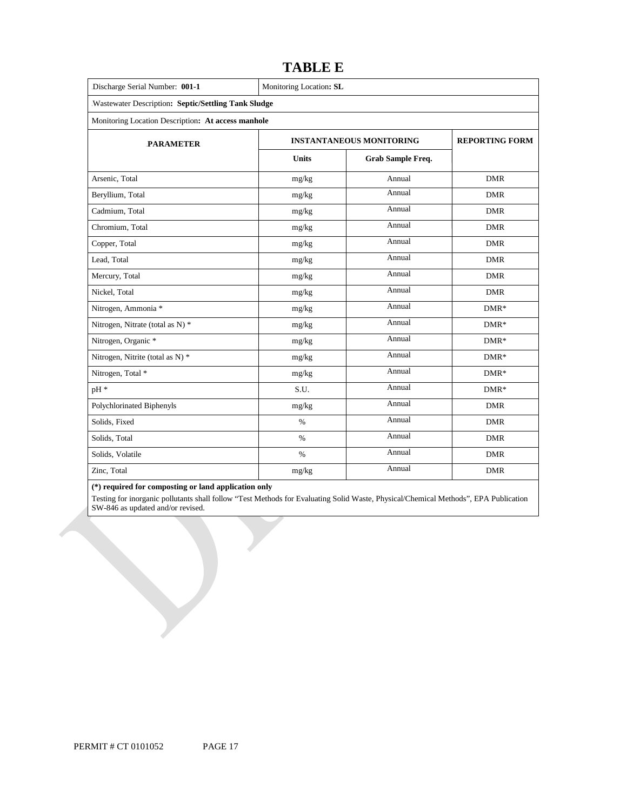| Discharge Serial Number: 001-1                      | Monitoring Location: SL         |                       |            |
|-----------------------------------------------------|---------------------------------|-----------------------|------------|
| Wastewater Description: Septic/Settling Tank Sludge |                                 |                       |            |
| Monitoring Location Description: At access manhole  |                                 |                       |            |
| <b>PARAMETER</b>                                    | <b>INSTANTANEOUS MONITORING</b> | <b>REPORTING FORM</b> |            |
|                                                     | <b>Units</b>                    | Grab Sample Freq.     |            |
| Arsenic, Total                                      | mg/kg                           | Annual                | <b>DMR</b> |
| Beryllium, Total                                    | mg/kg                           | Annual                | <b>DMR</b> |
| Cadmium. Total                                      | mg/kg                           | Annual                | <b>DMR</b> |
| Chromium, Total                                     | mg/kg                           | Annual                | <b>DMR</b> |
| Copper, Total                                       | mg/kg                           | Annual                | <b>DMR</b> |
| Lead, Total                                         | mg/kg                           | Annual                | <b>DMR</b> |
| Mercury, Total                                      | mg/kg                           | Annual                | <b>DMR</b> |
| Nickel, Total                                       | mg/kg                           | Annual                | <b>DMR</b> |
| Nitrogen, Ammonia *                                 | mg/kg                           | Annual                | $DMR*$     |
| Nitrogen, Nitrate (total as N) *                    | mg/kg                           | Annual                | $DMR*$     |
| Nitrogen, Organic *                                 | mg/kg                           | Annual                | $DMR*$     |
| Nitrogen, Nitrite (total as N) *                    | mg/kg                           | Annual                | $DMR*$     |
| Nitrogen, Total *                                   | mg/kg                           | Annual                | $DMR*$     |
| pH *                                                | S.U.                            | Annual                | $DMR*$     |
| Polychlorinated Biphenyls                           | mg/kg                           | Annual                | <b>DMR</b> |
| Solids, Fixed                                       | $\%$                            | Annual                | <b>DMR</b> |
| Solids, Total                                       | $\%$                            | Annual                | <b>DMR</b> |
| Solids, Volatile                                    | $\%$                            | Annual                | <b>DMR</b> |
| Zinc, Total                                         | mg/kg                           | Annual                | <b>DMR</b> |

### **TABLE E**

### **(\*) required for composting or land application only**

Testing for inorganic pollutants shall follow "Test Methods for Evaluating Solid Waste, Physical/Chemical Methods", EPA Publication SW-846 as updated and/or revised.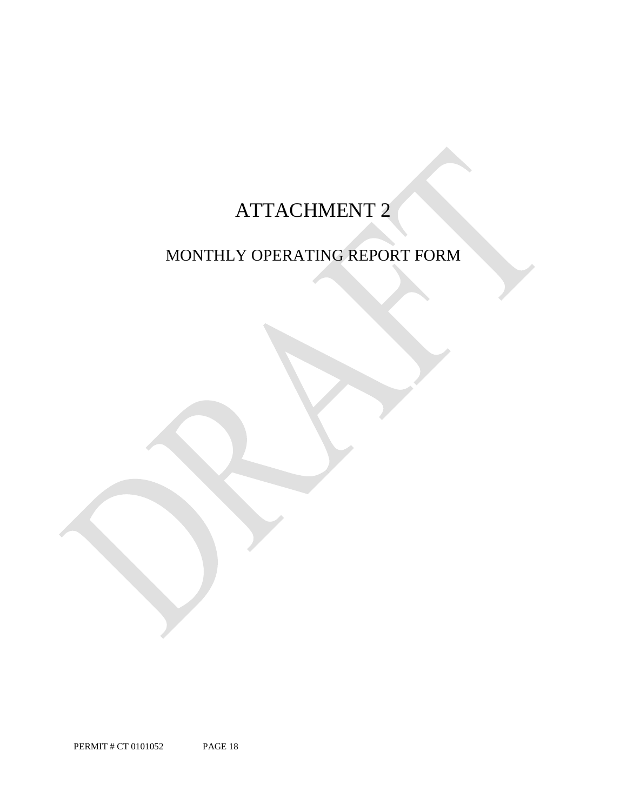# ATTACHMENT 2

## MONTHLY OPERATING REPORT FORM

PERMIT # CT 0101052 PAGE 18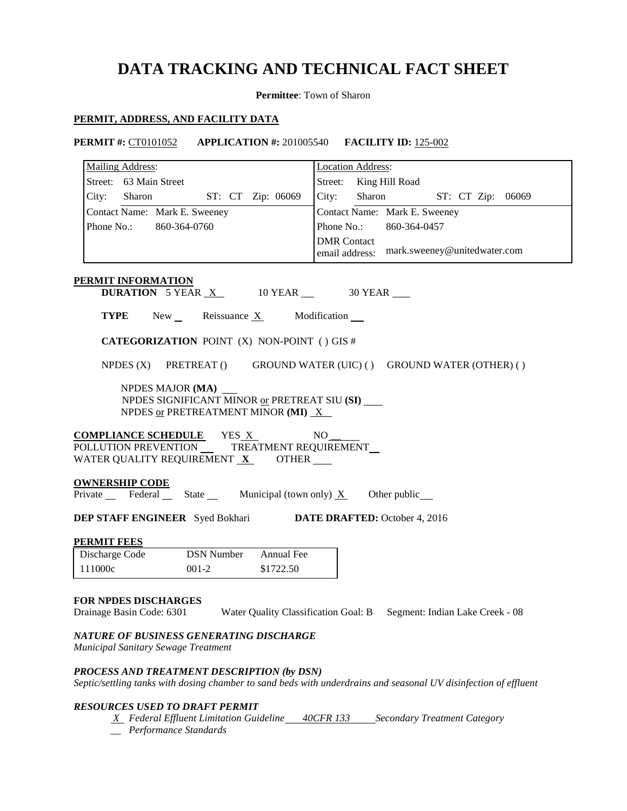### **DATA TRACKING AND TECHNICAL FACT SHEET**

**Permittee**: Town of Sharon

**PERMIT #:** CT0101052 **APPLICATION #:** 201005540 **FACILITY ID:** 125-002

### **PERMIT, ADDRESS, AND FACILITY DATA**

|                                      | <b>Mailing Address:</b>                                                                                                                                              |                    |                                                              | <b>Location Address:</b>                    |  |        |  |  |                   |  |
|--------------------------------------|----------------------------------------------------------------------------------------------------------------------------------------------------------------------|--------------------|--------------------------------------------------------------|---------------------------------------------|--|--------|--|--|-------------------|--|
| Street: 63 Main Street               |                                                                                                                                                                      |                    |                                                              | Street: King Hill Road                      |  |        |  |  |                   |  |
| City:                                | Sharon                                                                                                                                                               |                    | ST: CT Zip: 06069                                            | City:                                       |  | Sharon |  |  | ST: CT Zip: 06069 |  |
|                                      | Contact Name: Mark E. Sweeney                                                                                                                                        |                    |                                                              | Contact Name: Mark E. Sweeney               |  |        |  |  |                   |  |
|                                      | Phone No.: 860-364-0760                                                                                                                                              |                    |                                                              | Phone No.:<br>860-364-0457                  |  |        |  |  |                   |  |
|                                      |                                                                                                                                                                      | <b>DMR</b> Contact |                                                              | email address: mark.sweeney@unitedwater.com |  |        |  |  |                   |  |
|                                      | PERMIT INFORMATION<br><b>DURATION</b> 5 YEAR $X$ 10 YEAR $\_\$ 30 YEAR                                                                                               |                    |                                                              |                                             |  |        |  |  |                   |  |
| <b>TYPE</b>                          |                                                                                                                                                                      |                    | New Reissuance $X$ Modification $\blacksquare$               |                                             |  |        |  |  |                   |  |
|                                      | <b>CATEGORIZATION POINT (X) NON-POINT () GIS #</b>                                                                                                                   |                    |                                                              |                                             |  |        |  |  |                   |  |
|                                      | NPDES (X) PRETREAT () GROUND WATER (UIC) () GROUND WATER (OTHER) ()                                                                                                  |                    |                                                              |                                             |  |        |  |  |                   |  |
|                                      | NPDES MAJOR (MA)<br>NPDES SIGNIFICANT MINOR or PRETREAT SIU (SI)<br>NPDES or PRETREATMENT MINOR (MI) $X$<br><b>COMPLIANCE SCHEDULE</b> YES X<br>POLLUTION PREVENTION |                    | TREATMENT REQUIREMENT_                                       | NO                                          |  |        |  |  |                   |  |
|                                      | WATER QUALITY REQUIREMENT $X$ OTHER $\_\_$                                                                                                                           |                    |                                                              |                                             |  |        |  |  |                   |  |
|                                      |                                                                                                                                                                      |                    | Private Federal State Municipal (town only) $X$ Other public |                                             |  |        |  |  |                   |  |
| <b>OWNERSHIP CODE</b>                |                                                                                                                                                                      |                    |                                                              |                                             |  |        |  |  |                   |  |
|                                      |                                                                                                                                                                      |                    |                                                              |                                             |  |        |  |  |                   |  |
|                                      | <b>DEP STAFF ENGINEER</b> Syed Bokhari <b>DATE DRAFTED:</b> October 4, 2016                                                                                          |                    |                                                              |                                             |  |        |  |  |                   |  |
| <b>PERMIT FEES</b><br>Discharge Code |                                                                                                                                                                      |                    | <b>DSN Number</b> Annual Fee                                 |                                             |  |        |  |  |                   |  |

*Municipal Sanitary Sewage Treatment*

### *PROCESS AND TREATMENT DESCRIPTION (by DSN)*

*Septic/settling tanks with dosing chamber to sand beds with underdrains and seasonal UV disinfection of effluent* 

### *RESOURCES USED TO DRAFT PERMIT*

- *X Federal Effluent Limitation Guideline 40CFR 133 Secondary Treatment Category*
- *\_\_ Performance Standards*